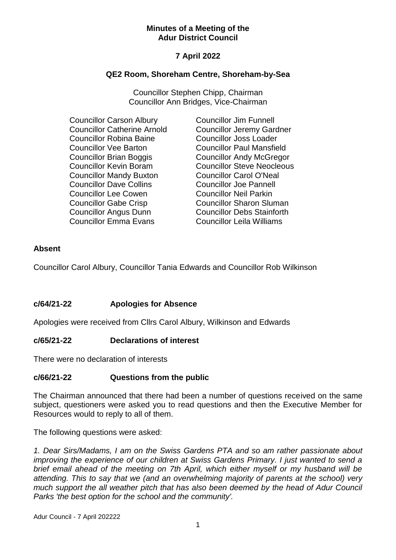#### **Minutes of a Meeting of the Adur District Council**

# **7 April 2022**

## **QE2 Room, Shoreham Centre, Shoreham-by-Sea**

Councillor Stephen Chipp, Chairman Councillor Ann Bridges, Vice-Chairman

- Councillor Carson Albury Councillor Catherine Arnold Councillor Robina Baine Councillor Vee Barton Councillor Brian Boggis Councillor Kevin Boram Councillor Mandy Buxton Councillor Dave Collins Councillor Lee Cowen Councillor Gabe Crisp Councillor Angus Dunn Councillor Emma Evans
- Councillor Jim Funnell Councillor Jeremy Gardner Councillor Joss Loader Councillor Paul Mansfield Councillor Andy McGregor Councillor Steve Neocleous Councillor Carol O'Neal Councillor Joe Pannell Councillor Neil Parkin Councillor Sharon Sluman Councillor Debs Stainforth Councillor Leila Williams

# **Absent**

Councillor Carol Albury, Councillor Tania Edwards and Councillor Rob Wilkinson

# **c/64/21-22 Apologies for Absence**

Apologies were received from Cllrs Carol Albury, Wilkinson and Edwards

### **c/65/21-22 Declarations of interest**

There were no declaration of interests

### **c/66/21-22 Questions from the public**

The Chairman announced that there had been a number of questions received on the same subject, questioners were asked you to read questions and then the Executive Member for Resources would to reply to all of them.

The following questions were asked:

*1. Dear Sirs/Madams, I am on the Swiss Gardens PTA and so am rather passionate about improving the experience of our children at Swiss Gardens Primary. I just wanted to send a brief email ahead of the meeting on 7th April, which either myself or my husband will be attending. This to say that we (and an overwhelming majority of parents at the school) very much support the all weather pitch that has also been deemed by the head of Adur Council Parks 'the best option for the school and the community'.*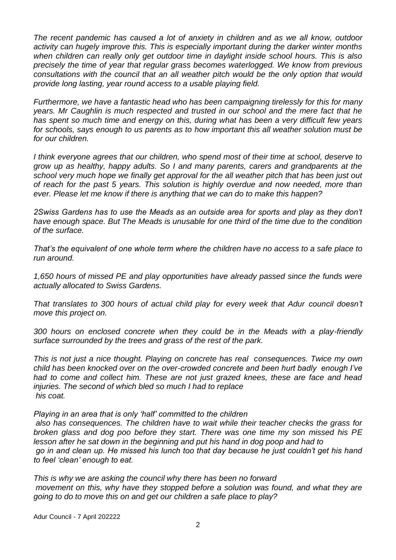*The recent pandemic has caused a lot of anxiety in children and as we all know, outdoor activity can hugely improve this. This is especially important during the darker winter months when children can really only get outdoor time in daylight inside school hours. This is also precisely the time of year that regular grass becomes waterlogged. We know from previous consultations with the council that an all weather pitch would be the only option that would provide long lasting, year round access to a usable playing field.* 

*Furthermore, we have a fantastic head who has been campaigning tirelessly for this for many years. Mr Caughlin is much respected and trusted in our school and the mere fact that he has spent so much time and energy on this, during what has been a very difficult few years for schools, says enough to us parents as to how important this all weather solution must be for our children.* 

*I think everyone agrees that our children, who spend most of their time at school, deserve to grow up as healthy, happy adults. So I and many parents, carers and grandparents at the school very much hope we finally get approval for the all weather pitch that has been just out of reach for the past 5 years. This solution is highly overdue and now needed, more than ever. Please let me know if there is anything that we can do to make this happen?*

*2Swiss Gardens has to use the Meads as an outside area for sports and play as they don't have enough space. But The Meads is unusable for one third of the time due to the condition of the surface.*

*That's the equivalent of one whole term where the children have no access to a safe place to run around.*

*1,650 hours of missed PE and play opportunities have already passed since the funds were actually allocated to Swiss Gardens.*

*That translates to 300 hours of actual child play for every week that Adur council doesn't move this project on.*

*300 hours on enclosed concrete when they could be in the Meads with a play-friendly surface surrounded by the trees and grass of the rest of the park.*

*This is not just a nice thought. Playing on concrete has real consequences. Twice my own child has been knocked over on the over-crowded concrete and been hurt badly enough I've had to come and collect him. These are not just grazed knees, these are face and head injuries. The second of which bled so much I had to replace his coat.*

*Playing in an area that is only 'half' committed to the children*

*also has consequences. The children have to wait while their teacher checks the grass for broken glass and dog poo before they start. There was one time my son missed his PE lesson after he sat down in the beginning and put his hand in dog poop and had to go in and clean up. He missed his lunch too that day because he just couldn't get his hand to feel 'clean' enough to eat.*

*This is why we are asking the council why there has been no forward movement on this, why have they stopped before a solution was found, and what they are going to do to move this on and get our children a safe place to play?*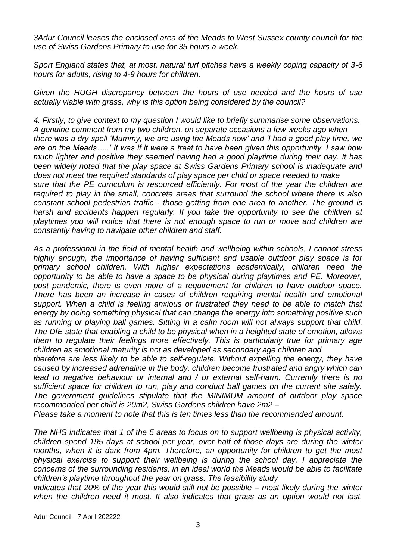*3Adur Council leases the enclosed area of the Meads to West Sussex county council for the use of Swiss Gardens Primary to use for 35 hours a week.*

*Sport England states that, at most, natural turf pitches have a weekly coping capacity of 3-6 hours for adults, rising to 4-9 hours for children.* 

*Given the HUGH discrepancy between the hours of use needed and the hours of use actually viable with grass, why is this option being considered by the council?*

*4. Firstly, to give context to my question I would like to briefly summarise some observations. A genuine comment from my two children, on separate occasions a few weeks ago when there was a dry spell 'Mummy, we are using the Meads now' and 'I had a good play time, we are on the Meads…..' It was if it were a treat to have been given this opportunity. I saw how much lighter and positive they seemed having had a good playtime during their day. It has been widely noted that the play space at Swiss Gardens Primary school is inadequate and does not meet the required standards of play space per child or space needed to make sure that the PE curriculum is resourced efficiently. For most of the year the children are required to play in the small, concrete areas that surround the school where there is also constant school pedestrian traffic - those getting from one area to another. The ground is harsh and accidents happen regularly. If you take the opportunity to see the children at playtimes you will notice that there is not enough space to run or move and children are constantly having to navigate other children and staff.*

*As a professional in the field of mental health and wellbeing within schools, I cannot stress highly enough, the importance of having sufficient and usable outdoor play space is for primary school children. With higher expectations academically, children need the opportunity to be able to have a space to be physical during playtimes and PE. Moreover, post pandemic, there is even more of a requirement for children to have outdoor space. There has been an increase in cases of children requiring mental health and emotional support. When a child is feeling anxious or frustrated they need to be able to match that energy by doing something physical that can change the energy into something positive such as running or playing ball games. Sitting in a calm room will not always support that child. The DfE state that enabling a child to be physical when in a heighted state of emotion, allows them to regulate their feelings more effectively. This is particularly true for primary age children as emotional maturity is not as developed as secondary age children and*

*therefore are less likely to be able to self-regulate. Without expelling the energy, they have caused by increased adrenaline in the body, children become frustrated and angry which can lead to negative behaviour or internal and / or external self-harm. Currently there is no sufficient space for children to run, play and conduct ball games on the current site safely. The government guidelines stipulate that the MINIMUM amount of outdoor play space recommended per child is 20m2, Swiss Gardens children have 2m2 –*

*Please take a moment to note that this is ten times less than the recommended amount.*

*The NHS indicates that 1 of the 5 areas to focus on to support wellbeing is physical activity, children spend 195 days at school per year, over half of those days are during the winter months, when it is dark from 4pm. Therefore, an opportunity for children to get the most physical exercise to support their wellbeing is during the school day. I appreciate the concerns of the surrounding residents; in an ideal world the Meads would be able to facilitate children's playtime throughout the year on grass. The feasibility study* 

*indicates that 20% of the year this would still not be possible – most likely during the winter when the children need it most. It also indicates that grass as an option would not last.*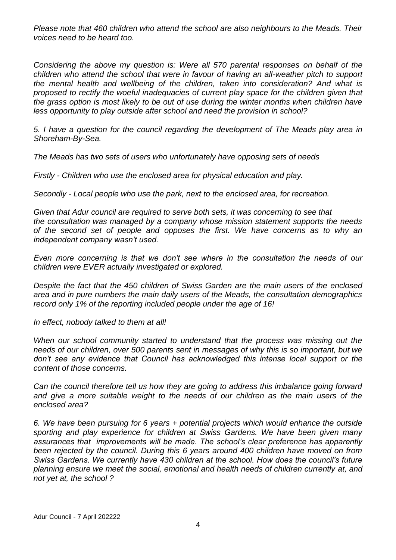*Please note that 460 children who attend the school are also neighbours to the Meads. Their voices need to be heard too.*

*Considering the above my question is: Were all 570 parental responses on behalf of the children who attend the school that were in favour of having an all-weather pitch to support the mental health and wellbeing of the children, taken into consideration? And what is proposed to rectify the woeful inadequacies of current play space for the children given that the grass option is most likely to be out of use during the winter months when children have less opportunity to play outside after school and need the provision in school?*

*5. I have a question for the council regarding the development of The Meads play area in Shoreham-By-Sea.*

*The Meads has two sets of users who unfortunately have opposing sets of needs*

*Firstly - Children who use the enclosed area for physical education and play.*

*Secondly - Local people who use the park, next to the enclosed area, for recreation.*

*Given that Adur council are required to serve both sets, it was concerning to see that the consultation was managed by a company whose mission statement supports the needs of the second set of people and opposes the first. We have concerns as to why an independent company wasn't used.*

*Even more concerning is that we don't see where in the consultation the needs of our children were EVER actually investigated or explored.*

*Despite the fact that the 450 children of Swiss Garden are the main users of the enclosed area and in pure numbers the main daily users of the Meads, the consultation demographics record only 1% of the reporting included people under the age of 16!*

*In effect, nobody talked to them at all!*

*When our school community started to understand that the process was missing out the needs of our children, over 500 parents sent in messages of why this is so important, but we don't see any evidence that Council has acknowledged this intense local support or the content of those concerns.*

*Can the council therefore tell us how they are going to address this imbalance going forward and give a more suitable weight to the needs of our children as the main users of the enclosed area?*

*6. We have been pursuing for 6 years + potential projects which would enhance the outside sporting and play experience for children at Swiss Gardens. We have been given many assurances that improvements will be made. The school's clear preference has apparently been rejected by the council. During this 6 years around 400 children have moved on from Swiss Gardens. We currently have 430 children at the school. How does the council's future planning ensure we meet the social, emotional and health needs of children currently at, and not yet at, the school ?*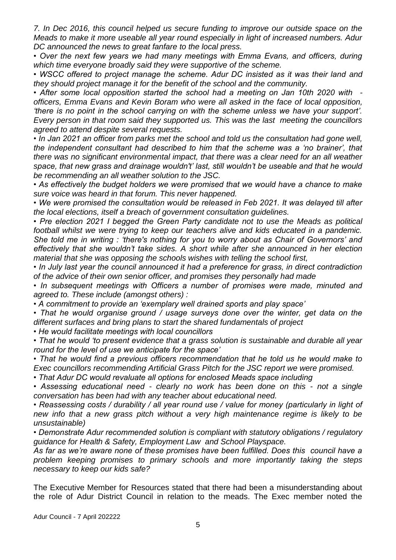*7. In Dec 2016, this council helped us secure funding to improve our outside space on the Meads to make it more useable all year round especially in light of increased numbers. Adur DC announced the news to great fanfare to the local press.*

*• Over the next few years we had many meetings with Emma Evans, and officers, during which time everyone broadly said they were supportive of the scheme.*

*• WSCC offered to project manage the scheme. Adur DC insisted as it was their land and they should project manage it for the benefit of the school and the community.*

*• After some local opposition started the school had a meeting on Jan 10th 2020 with officers, Emma Evans and Kevin Boram who were all asked in the face of local opposition, 'there is no point in the school carrying on with the scheme unless we have your support'. Every person in that room said they supported us. This was the last meeting the councillors agreed to attend despite several requests.*

*• In Jan 2021 an officer from parks met the school and told us the consultation had gone well, the independent consultant had described to him that the scheme was a 'no brainer', that there was no significant environmental impact, that there was a clear need for an all weather space, that new grass and drainage wouldn't' last, still wouldn't be useable and that he would be recommending an all weather solution to the JSC.*

*• As effectively the budget holders we were promised that we would have a chance to make sure voice was heard in that forum. This never happened.*

*• We were promised the consultation would be released in Feb 2021. It was delayed till after the local elections, itself a breach of government consultation guidelines.* 

*• Pre election 2021 I begged the Green Party candidate not to use the Meads as political football whilst we were trying to keep our teachers alive and kids educated in a pandemic. She told me in writing : 'there's nothing for you to worry about as Chair of Governors' and effectively that she wouldn't take sides. A short while after she announced in her election material that she was opposing the schools wishes with telling the school first,*

*• In July last year the council announced it had a preference for grass, in direct contradiction of the advice of their own senior officer, and promises they personally had made*

*• In subsequent meetings with Officers a number of promises were made, minuted and agreed to. These include (amongst others) :*

*• A commitment to provide an 'exemplary well drained sports and play space'*

*• That he would organise ground / usage surveys done over the winter, get data on the different surfaces and bring plans to start the shared fundamentals of project*

*• He would facilitate meetings with local councillors*

*• That he would 'to present evidence that a grass solution is sustainable and durable all year round for the level of use we anticipate for the space'*

*• That he would find a previous officers recommendation that he told us he would make to Exec councillors recommending Artificial Grass Pitch for the JSC report we were promised.*

*• That Adur DC would revaluate all options for enclosed Meads space including*

*• Assessing educational need - clearly no work has been done on this - not a single conversation has been had with any teacher about educational need.*

*• Reassessing costs / durability / all year round use / value for money (particularly in light of new info that a new grass pitch without a very high maintenance regime is likely to be unsustainable)*

*• Demonstrate Adur recommended solution is compliant with statutory obligations / regulatory guidance for Health & Safety, Employment Law and School Playspace.*

*As far as we're aware none of these promises have been fulfilled. Does this council have a problem keeping promises to primary schools and more importantly taking the steps necessary to keep our kids safe?* 

The Executive Member for Resources stated that there had been a misunderstanding about the role of Adur District Council in relation to the meads. The Exec member noted the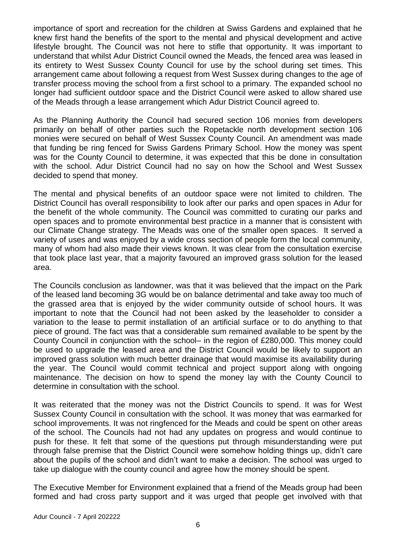importance of sport and recreation for the children at Swiss Gardens and explained that he knew first hand the benefits of the sport to the mental and physical development and active lifestyle brought. The Council was not here to stifle that opportunity. It was important to understand that whilst Adur District Council owned the Meads, the fenced area was leased in its entirety to West Sussex County Council for use by the school during set times. This arrangement came about following a request from West Sussex during changes to the age of transfer process moving the school from a first school to a primary. The expanded school no longer had sufficient outdoor space and the District Council were asked to allow shared use of the Meads through a lease arrangement which Adur District Council agreed to.

As the Planning Authority the Council had secured section 106 monies from developers primarily on behalf of other parties such the Ropetackle north development section 106 monies were secured on behalf of West Sussex County Council. An amendment was made that funding be ring fenced for Swiss Gardens Primary School. How the money was spent was for the County Council to determine, it was expected that this be done in consultation with the school. Adur District Council had no say on how the School and West Sussex decided to spend that money.

The mental and physical benefits of an outdoor space were not limited to children. The District Council has overall responsibility to look after our parks and open spaces in Adur for the benefit of the whole community. The Council was committed to curating our parks and open spaces and to promote environmental best practice in a manner that is consistent with our Climate Change strategy. The Meads was one of the smaller open spaces. It served a variety of uses and was enjoyed by a wide cross section of people form the local community, many of whom had also made their views known. It was clear from the consultation exercise that took place last year, that a majority favoured an improved grass solution for the leased area.

The Councils conclusion as landowner, was that it was believed that the impact on the Park of the leased land becoming 3G would be on balance detrimental and take away too much of the grassed area that is enjoyed by the wider community outside of school hours. It was important to note that the Council had not been asked by the leaseholder to consider a variation to the lease to permit installation of an artificial surface or to do anything to that piece of ground. The fact was that a considerable sum remained available to be spent by the County Council in conjunction with the school– in the region of £280,000. This money could be used to upgrade the leased area and the District Council would be likely to support an improved grass solution with much better drainage that would maximise its availability during the year. The Council would commit technical and project support along with ongoing maintenance. The decision on how to spend the money lay with the County Council to determine in consultation with the school.

It was reiterated that the money was not the District Councils to spend. It was for West Sussex County Council in consultation with the school. It was money that was earmarked for school improvements. It was not ringfenced for the Meads and could be spent on other areas of the school. The Councils had not had any updates on progress and would continue to push for these. It felt that some of the questions put through misunderstanding were put through false premise that the District Council were somehow holding things up, didn't care about the pupils of the school and didn't want to make a decision. The school was urged to take up dialogue with the county council and agree how the money should be spent.

The Executive Member for Environment explained that a friend of the Meads group had been formed and had cross party support and it was urged that people get involved with that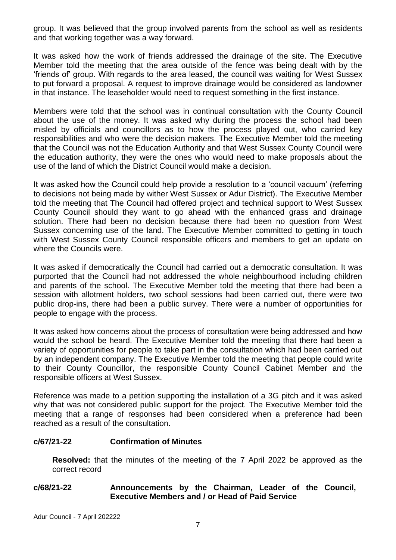group. It was believed that the group involved parents from the school as well as residents and that working together was a way forward.

It was asked how the work of friends addressed the drainage of the site. The Executive Member told the meeting that the area outside of the fence was being dealt with by the 'friends of' group. With regards to the area leased, the council was waiting for West Sussex to put forward a proposal. A request to improve drainage would be considered as landowner in that instance. The leaseholder would need to request something in the first instance.

Members were told that the school was in continual consultation with the County Council about the use of the money. It was asked why during the process the school had been misled by officials and councillors as to how the process played out, who carried key responsibilities and who were the decision makers. The Executive Member told the meeting that the Council was not the Education Authority and that West Sussex County Council were the education authority, they were the ones who would need to make proposals about the use of the land of which the District Council would make a decision.

It was asked how the Council could help provide a resolution to a 'council vacuum' (referring to decisions not being made by wither West Sussex or Adur District). The Executive Member told the meeting that The Council had offered project and technical support to West Sussex County Council should they want to go ahead with the enhanced grass and drainage solution. There had been no decision because there had been no question from West Sussex concerning use of the land. The Executive Member committed to getting in touch with West Sussex County Council responsible officers and members to get an update on where the Councils were.

It was asked if democratically the Council had carried out a democratic consultation. It was purported that the Council had not addressed the whole neighbourhood including children and parents of the school. The Executive Member told the meeting that there had been a session with allotment holders, two school sessions had been carried out, there were two public drop-ins, there had been a public survey. There were a number of opportunities for people to engage with the process.

It was asked how concerns about the process of consultation were being addressed and how would the school be heard. The Executive Member told the meeting that there had been a variety of opportunities for people to take part in the consultation which had been carried out by an independent company. The Executive Member told the meeting that people could write to their County Councillor, the responsible County Council Cabinet Member and the responsible officers at West Sussex.

Reference was made to a petition supporting the installation of a 3G pitch and it was asked why that was not considered public support for the project. The Executive Member told the meeting that a range of responses had been considered when a preference had been reached as a result of the consultation.

## **c/67/21-22 Confirmation of Minutes**

**Resolved:** that the minutes of the meeting of the 7 April 2022 be approved as the correct record

### **c/68/21-22 Announcements by the Chairman, Leader of the Council, Executive Members and / or Head of Paid Service**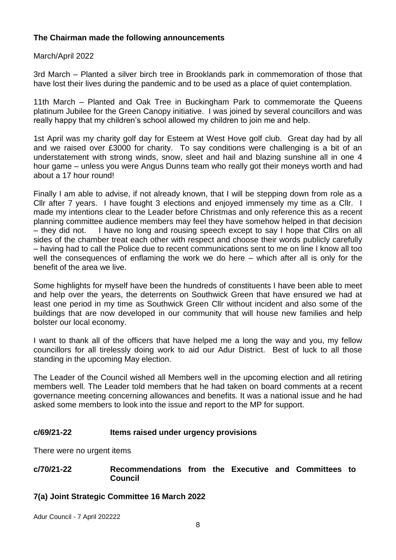# **The Chairman made the following announcements**

March/April 2022

3rd March – Planted a silver birch tree in Brooklands park in commemoration of those that have lost their lives during the pandemic and to be used as a place of quiet contemplation.

11th March – Planted and Oak Tree in Buckingham Park to commemorate the Queens platinum Jubilee for the Green Canopy initiative. I was joined by several councillors and was really happy that my children's school allowed my children to join me and help.

1st April was my charity golf day for Esteem at West Hove golf club. Great day had by all and we raised over £3000 for charity. To say conditions were challenging is a bit of an understatement with strong winds, snow, sleet and hail and blazing sunshine all in one 4 hour game – unless you were Angus Dunns team who really got their moneys worth and had about a 17 hour round!

Finally I am able to advise, if not already known, that I will be stepping down from role as a Cllr after 7 years. I have fought 3 elections and enjoyed immensely my time as a Cllr. I made my intentions clear to the Leader before Christmas and only reference this as a recent planning committee audience members may feel they have somehow helped in that decision – they did not. I have no long and rousing speech except to say I hope that Cllrs on all sides of the chamber treat each other with respect and choose their words publicly carefully – having had to call the Police due to recent communications sent to me on line I know all too well the consequences of enflaming the work we do here – which after all is only for the benefit of the area we live.

Some highlights for myself have been the hundreds of constituents I have been able to meet and help over the years, the deterrents on Southwick Green that have ensured we had at least one period in my time as Southwick Green Cllr without incident and also some of the buildings that are now developed in our community that will house new families and help bolster our local economy.

I want to thank all of the officers that have helped me a long the way and you, my fellow councillors for all tirelessly doing work to aid our Adur District. Best of luck to all those standing in the upcoming May election.

The Leader of the Council wished all Members well in the upcoming election and all retiring members well. The Leader told members that he had taken on board comments at a recent governance meeting concerning allowances and benefits. It was a national issue and he had asked some members to look into the issue and report to the MP for support.

# **c/69/21-22 Items raised under urgency provisions**

There were no urgent items

### **c/70/21-22 Recommendations from the Executive and Committees to Council**

**7(a) Joint Strategic Committee 16 March 2022**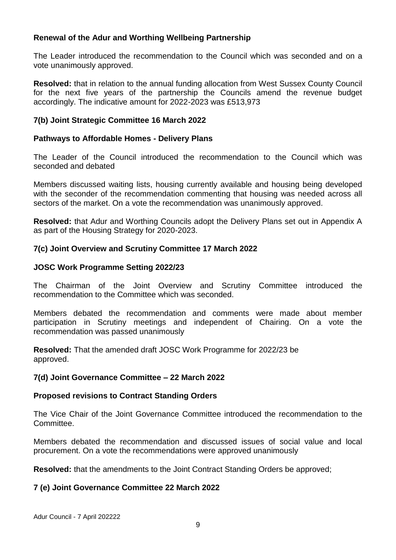# **Renewal of the Adur and Worthing Wellbeing Partnership**

The Leader introduced the recommendation to the Council which was seconded and on a vote unanimously approved.

**Resolved:** that in relation to the annual funding allocation from West Sussex County Council for the next five years of the partnership the Councils amend the revenue budget accordingly. The indicative amount for 2022-2023 was £513,973

# **7(b) Joint Strategic Committee 16 March 2022**

## **Pathways to Affordable Homes - Delivery Plans**

The Leader of the Council introduced the recommendation to the Council which was seconded and debated

Members discussed waiting lists, housing currently available and housing being developed with the seconder of the recommendation commenting that housing was needed across all sectors of the market. On a vote the recommendation was unanimously approved.

**Resolved:** that Adur and Worthing Councils adopt the Delivery Plans set out in Appendix A as part of the Housing Strategy for 2020-2023.

### **7(c) Joint Overview and Scrutiny Committee 17 March 2022**

# **JOSC Work Programme Setting 2022/23**

The Chairman of the Joint Overview and Scrutiny Committee introduced the recommendation to the Committee which was seconded.

Members debated the recommendation and comments were made about member participation in Scrutiny meetings and independent of Chairing. On a vote the recommendation was passed unanimously

**Resolved:** That the amended draft JOSC Work Programme for 2022/23 be approved.

### **7(d) Joint Governance Committee – 22 March 2022**

### **Proposed revisions to Contract Standing Orders**

The Vice Chair of the Joint Governance Committee introduced the recommendation to the Committee.

Members debated the recommendation and discussed issues of social value and local procurement. On a vote the recommendations were approved unanimously

**Resolved:** that the amendments to the Joint Contract Standing Orders be approved;

# **7 (e) Joint Governance Committee 22 March 2022**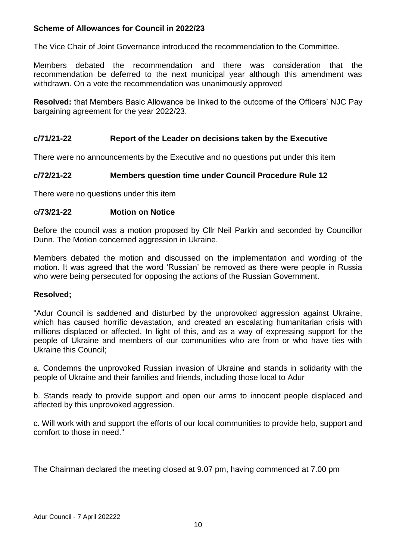# **Scheme of Allowances for Council in 2022/23**

The Vice Chair of Joint Governance introduced the recommendation to the Committee.

Members debated the recommendation and there was consideration that the recommendation be deferred to the next municipal year although this amendment was withdrawn. On a vote the recommendation was unanimously approved

**Resolved:** that Members Basic Allowance be linked to the outcome of the Officers' NJC Pay bargaining agreement for the year 2022/23.

### **c/71/21-22 Report of the Leader on decisions taken by the Executive**

There were no announcements by the Executive and no questions put under this item

#### **c/72/21-22 Members question time under Council Procedure Rule 12**

There were no questions under this item

#### **c/73/21-22 Motion on Notice**

Before the council was a motion proposed by Cllr Neil Parkin and seconded by Councillor Dunn. The Motion concerned aggression in Ukraine.

Members debated the motion and discussed on the implementation and wording of the motion. It was agreed that the word 'Russian' be removed as there were people in Russia who were being persecuted for opposing the actions of the Russian Government.

#### **Resolved;**

"Adur Council is saddened and disturbed by the unprovoked aggression against Ukraine, which has caused horrific devastation, and created an escalating humanitarian crisis with millions displaced or affected. In light of this, and as a way of expressing support for the people of Ukraine and members of our communities who are from or who have ties with Ukraine this Council;

a. Condemns the unprovoked Russian invasion of Ukraine and stands in solidarity with the people of Ukraine and their families and friends, including those local to Adur

b. Stands ready to provide support and open our arms to innocent people displaced and affected by this unprovoked aggression.

c. Will work with and support the efforts of our local communities to provide help, support and comfort to those in need."

The Chairman declared the meeting closed at 9.07 pm, having commenced at 7.00 pm